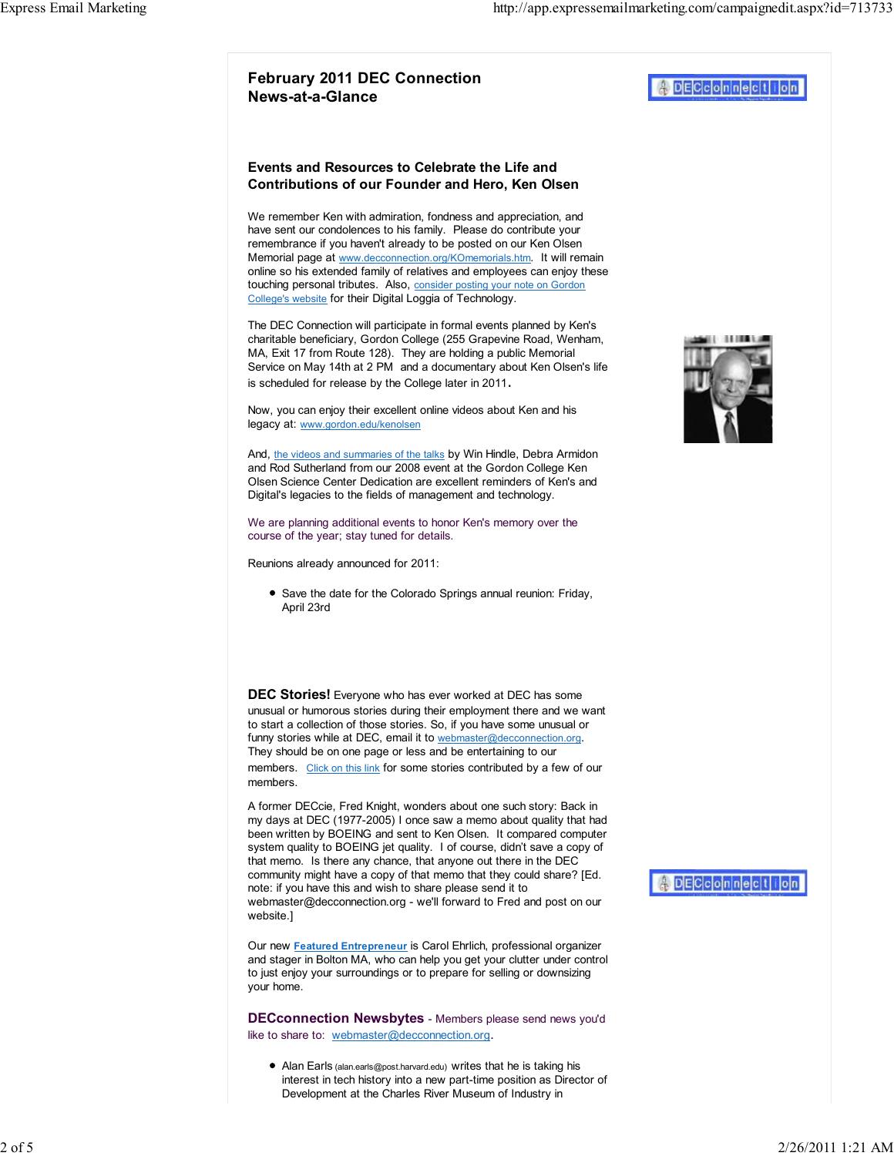## Events and Resources to Celebrate the Life and Contributions of our Founder and Hero, Ken Olsen

We remember Ken with admiration, fondness and appreciation, and have sent our condolences to his family. Please do contribute your remembrance if you haven't already to be posted on our Ken Olsen Memorial page at www.decconnection.org/KOmemorials.htm. It will remain online so his extended family of relatives and employees can enjoy these touching personal tributes. Also, consider posting your note on Gordon College's website for their Digital Loggia of Technology.

The DEC Connection will participate in formal events planned by Ken's charitable beneficiary, Gordon College (255 Grapevine Road, Wenham, MA, Exit 17 from Route 128). They are holding a public Memorial Service on May 14th at 2 PM and a documentary about Ken Olsen's life is scheduled for release by the College later in 2011.

Now, you can enjoy their excellent online videos about Ken and his legacy at: www.gordon.edu/kenolsen

And, the videos and summaries of the talks by Win Hindle, Debra Armidon and Rod Sutherland from our 2008 event at the Gordon College Ken Olsen Science Center Dedication are excellent reminders of Ken's and Digital's legacies to the fields of management and technology.

We are planning additional events to honor Ken's memory over the course of the year; stay tuned for details.

Reunions already announced for 2011:

• Save the date for the Colorado Springs annual reunion: Friday, April 23rd

DEC Stories! Everyone who has ever worked at DEC has some unusual or humorous stories during their employment there and we want to start a collection of those stories. So, if you have some unusual or funny stories while at DEC, email it to webmaster@decconnection.org. They should be on one page or less and be entertaining to our members. Click on this link for some stories contributed by a few of our members.

A former DECcie, Fred Knight, wonders about one such story: Back in my days at DEC (1977-2005) I once saw a memo about quality that had been written by BOEING and sent to Ken Olsen. It compared computer system quality to BOEING jet quality. I of course, didn't save a copy of that memo. Is there any chance, that anyone out there in the DEC community might have a copy of that memo that they could share? [Ed. note: if you have this and wish to share please send it to webmaster@decconnection.org - we'll forward to Fred and post on our website.]

Our new Featured Entrepreneur is Carol Ehrlich, professional organizer and stager in Bolton MA, who can help you get your clutter under control to just enjoy your surroundings or to prepare for selling or downsizing your home.

DECconnection Newsbytes - Members please send news you'd like to share to: webmaster@decconnection.org.

Alan Earls (alan.earls@post.harvard.edu) writes that he is taking his interest in tech history into a new part-time position as Director of Development at the Charles River Museum of Industry in



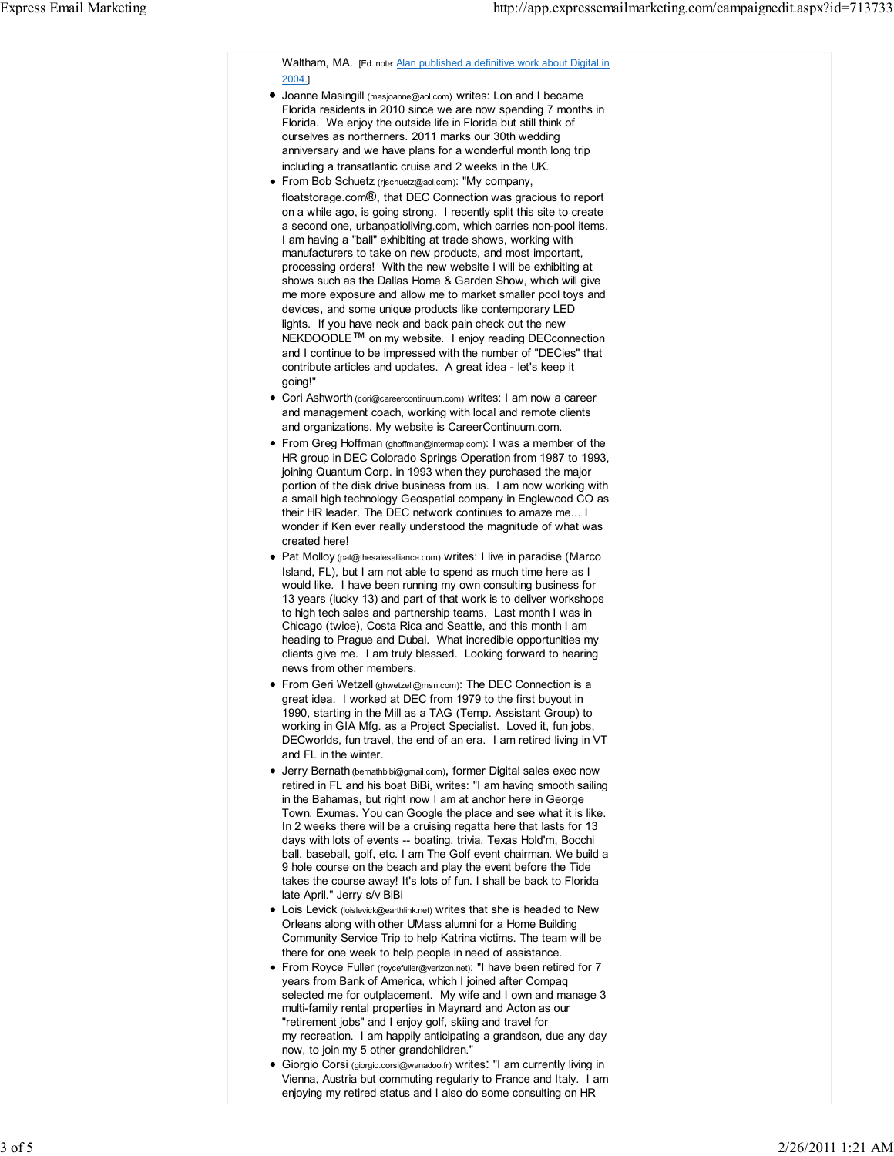Waltham, MA. [Ed. note: Alan published a definitive work about Digital in 2004. ]

- Joanne Masingill (masjoanne@aol.com) writes: Lon and I became Florida residents in 2010 since we are now spending 7 months in Florida. We enjoy the outside life in Florida but still think of ourselves as northerners. 2011 marks our 30th wedding anniversary and we have plans for a wonderful month long trip including a transatlantic cruise and 2 weeks in the UK.
- **From Bob Schuetz** (rischuetz@aol.com): "My company, floatstorage.com®, that DEC Connection was gracious to report on a while ago, is going strong. I recently split this site to create a second one, urbanpatioliving.com, which carries non-pool items. I am having a "ball" exhibiting at trade shows, working with manufacturers to take on new products, and most important, processing orders! With the new website I will be exhibiting at shows such as the Dallas Home & Garden Show, which will give me more exposure and allow me to market smaller pool toys and devices , and some unique products like contemporary LED lights. If you have neck and back pain check out the new NEKDOODLE<sup>™</sup> on my website. I enjoy reading DECconnection and I continue to be impressed with the number of "DECies" that contribute articles and updates. A great idea - let's keep it going!"
- Cori Ashworth (cori@careercontinuum.com) writes: I am now a career and management coach, working with local and remote clients and organizations. My website is CareerContinuum.com.
- From Greg Hoffman (ghoffman@intermap.com): I was a member of the HR group in DEC Colorado Springs Operation from 1987 to 1993, joining Quantum Corp. in 1993 when they purchased the major portion of the disk drive business from us. I am now working with a small high technology Geospatial company in Englewood CO as their HR leader. The DEC network continues to amaze me... I wonder if Ken ever really understood the magnitude of what was created here!
- Pat Molloy (pat@thesalesalliance.com) writes: I live in paradise (Marco Island, FL), but I am not able to spend as much time here as I would like. I have been running my own consulting business for 13 years (lucky 13) and part of that work is to deliver workshops to high tech sales and partnership teams. Last month I was in Chicago (twice), Costa Rica and Seattle, and this month I am heading to Prague and Dubai. What incredible opportunities my clients give me. I am truly blessed. Looking forward to hearing news from other members.
- From Geri Wetzell (ghwetzell@msn.com): The DEC Connection is a great idea. I worked at DEC from 1979 to the first buyout in 1990, starting in the Mill as a TAG (Temp. Assistant Group) to working in GIA Mfg. as a Project Specialist. Loved it, fun jobs, DECworlds, fun travel, the end of an era. I am retired living in VT and FL in the winter.
- Jerry Bernath (bernathbibi@gmail.com) , former Digital sales exec now retired in FL and his boat BiBi, writes: "I am having smooth sailing in the Bahamas, but right now I am at anchor here in George Town, Exumas. You can Google the place and see what it is like. In 2 weeks there will be a cruising regatta here that lasts for 13 days with lots of events -- boating, trivia, Texas Hold'm, Bocchi ball, baseball, golf, etc. I am The Golf event chairman. We build a 9 hole course on the beach and play the event before the Tide takes the course away! It's lots of fun. I shall be back to Florida late April." Jerry s/v BiBi
- Lois Levick (loislevick@earthlink.net) writes that she is headed to New Orleans along with other UMass alumni for a Home Building Community Service Trip to help Katrina victims. The team will be there for one week to help people in need of assistance.
- From Royce Fuller (roycefuller@verizon.net): "I have been retired for 7 years from Bank of America, which I joined after Compaq selected me for outplacement. My wife and I own and manage 3 multi-family rental properties in Maynard and Acton as our "retirement jobs" and I enjoy golf, skiing and travel for my recreation. I am happily anticipating a grandson, due any day now, to join my 5 other grandchildren."
- Giorgio Corsi (giorgio.corsi@wanadoo.fr) writes: "I am currently living in Vienna, Austria but commuting regularly to France and Italy. I am enjoying my retired status and I also do some consulting on HR